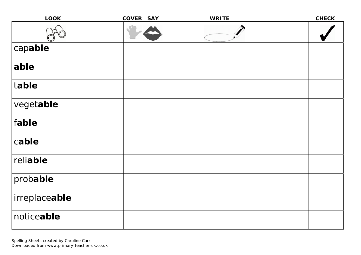| <b>LOOK</b>   | COVER SAY | <b>WRITE</b> | <b>CHECK</b> |
|---------------|-----------|--------------|--------------|
|               |           |              |              |
| capable       |           |              |              |
| able          |           |              |              |
| table         |           |              |              |
| vegetable     |           |              |              |
| fable         |           |              |              |
| cable         |           |              |              |
| reliable      |           |              |              |
| probable      |           |              |              |
| irreplaceable |           |              |              |
| noticeable    |           |              |              |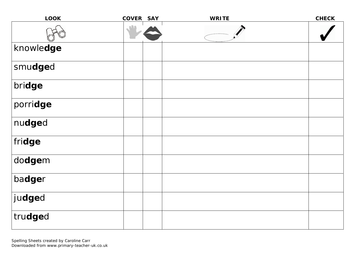| <b>LOOK</b> | <b>COVER</b> | <b>SAY</b> | <b>WRITE</b> | <b>CHECK</b> |
|-------------|--------------|------------|--------------|--------------|
|             |              |            |              |              |
| knowledge   |              |            |              |              |
| smudged     |              |            |              |              |
| bridge      |              |            |              |              |
| porridge    |              |            |              |              |
| nudged      |              |            |              |              |
| fridge      |              |            |              |              |
| dodgem      |              |            |              |              |
| badger      |              |            |              |              |
| judged      |              |            |              |              |
| trudged     |              |            |              |              |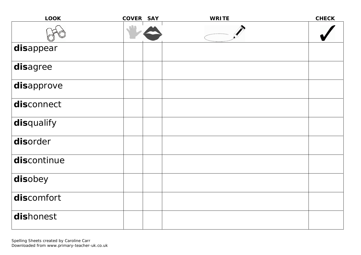| <b>LOOK</b> | <b>COVER</b> | <b>SAY</b> | <b>WRITE</b> | <b>CHECK</b> |
|-------------|--------------|------------|--------------|--------------|
|             |              |            |              |              |
| disappear   |              |            |              |              |
| disagree    |              |            |              |              |
| disapprove  |              |            |              |              |
| disconnect  |              |            |              |              |
| disqualify  |              |            |              |              |
| disorder    |              |            |              |              |
| discontinue |              |            |              |              |
| disobey     |              |            |              |              |
| discomfort  |              |            |              |              |
| dishonest   |              |            |              |              |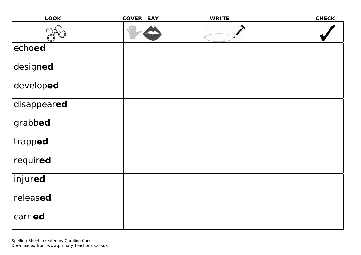| <b>LOOK</b> | COVER SAY | <b>WRITE</b> | <b>CHECK</b> |
|-------------|-----------|--------------|--------------|
|             |           |              |              |
| echoed      |           |              |              |
| designed    |           |              |              |
| developed   |           |              |              |
| disappeared |           |              |              |
| grabbed     |           |              |              |
| trapped     |           |              |              |
| required    |           |              |              |
| injured     |           |              |              |
| released    |           |              |              |
| carried     |           |              |              |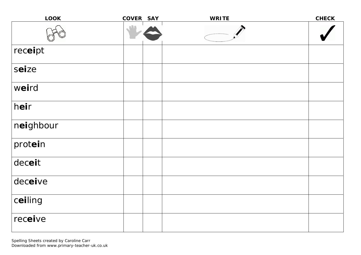| <b>LOOK</b> | COVER SAY | <b>WRITE</b> | <b>CHECK</b> |
|-------------|-----------|--------------|--------------|
|             |           |              |              |
| receipt     |           |              |              |
| seize       |           |              |              |
| weird       |           |              |              |
| heir        |           |              |              |
| neighbour   |           |              |              |
| protein     |           |              |              |
| deceit      |           |              |              |
| deceive     |           |              |              |
| ceiling     |           |              |              |
| receive     |           |              |              |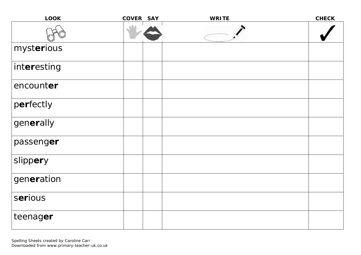| <b>LOOK</b> | COVER SAY | <b>WRITE</b> | <b>CHECK</b> |
|-------------|-----------|--------------|--------------|
|             |           |              |              |
| mysterious  |           |              |              |
| interesting |           |              |              |
| encounter   |           |              |              |
| perfectly   |           |              |              |
| generally   |           |              |              |
| passenger   |           |              |              |
| slippery    |           |              |              |
| generation  |           |              |              |
| serious     |           |              |              |
| teenager    |           |              |              |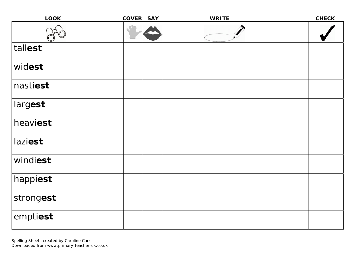| <b>LOOK</b> | COVER SAY | <b>WRITE</b> | <b>CHECK</b> |
|-------------|-----------|--------------|--------------|
|             |           |              |              |
| tallest     |           |              |              |
| widest      |           |              |              |
| nastiest    |           |              |              |
| largest     |           |              |              |
| heaviest    |           |              |              |
| laziest     |           |              |              |
| windiest    |           |              |              |
| happiest    |           |              |              |
| strongest   |           |              |              |
| emptiest    |           |              |              |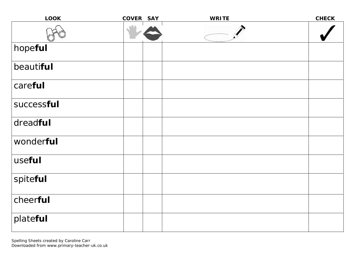| <b>LOOK</b> | COVER SAY | <b>WRITE</b> | <b>CHECK</b> |
|-------------|-----------|--------------|--------------|
|             |           |              |              |
| hopeful     |           |              |              |
| beautiful   |           |              |              |
| careful     |           |              |              |
| successful  |           |              |              |
| dreadful    |           |              |              |
| wonderful   |           |              |              |
| useful      |           |              |              |
| spiteful    |           |              |              |
| cheerful    |           |              |              |
| plateful    |           |              |              |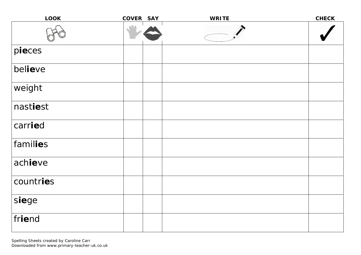| <b>LOOK</b> | COVER SAY | <b>WRITE</b> | <b>CHECK</b> |
|-------------|-----------|--------------|--------------|
|             |           |              |              |
| pieces      |           |              |              |
| believe     |           |              |              |
| weight      |           |              |              |
| nastiest    |           |              |              |
| carried     |           |              |              |
| families    |           |              |              |
| achieve     |           |              |              |
| countries   |           |              |              |
| siege       |           |              |              |
| friend      |           |              |              |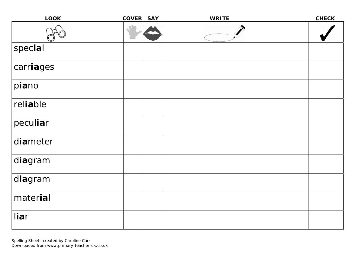| <b>LOOK</b> | COVER SAY | <b>WRITE</b> | <b>CHECK</b> |
|-------------|-----------|--------------|--------------|
|             |           |              |              |
| special     |           |              |              |
| carriages   |           |              |              |
| piano       |           |              |              |
| reliable    |           |              |              |
| peculiar    |           |              |              |
| diameter    |           |              |              |
| diagram     |           |              |              |
| diagram     |           |              |              |
| material    |           |              |              |
| liar        |           |              |              |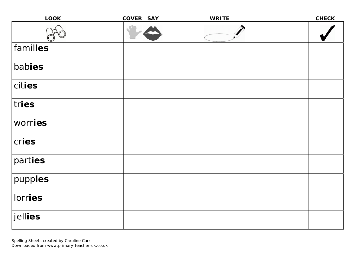| <b>LOOK</b> | COVER SAY | <b>WRITE</b> | <b>CHECK</b> |
|-------------|-----------|--------------|--------------|
|             |           |              |              |
| families    |           |              |              |
| babies      |           |              |              |
| cities      |           |              |              |
| tries       |           |              |              |
| worries     |           |              |              |
| cries       |           |              |              |
| parties     |           |              |              |
| puppies     |           |              |              |
| lorries     |           |              |              |
| jellies     |           |              |              |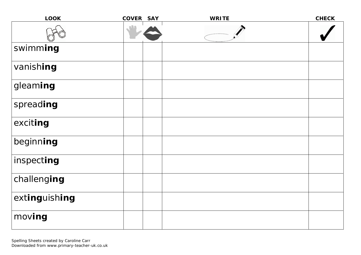| <b>LOOK</b>   | COVER SAY | <b>WRITE</b> | <b>CHECK</b> |
|---------------|-----------|--------------|--------------|
|               |           |              |              |
| swimming      |           |              |              |
| vanishing     |           |              |              |
| gleaming      |           |              |              |
| spreading     |           |              |              |
| exciting      |           |              |              |
| beginning     |           |              |              |
| inspecting    |           |              |              |
| challenging   |           |              |              |
| extinguishing |           |              |              |
| moving        |           |              |              |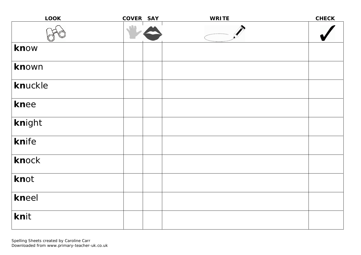| <b>LOOK</b> | COVER SAY | <b>WRITE</b> | <b>CHECK</b> |
|-------------|-----------|--------------|--------------|
|             |           |              |              |
| know        |           |              |              |
| known       |           |              |              |
| knuckle     |           |              |              |
| knee        |           |              |              |
| knight      |           |              |              |
| knife       |           |              |              |
| knock       |           |              |              |
| knot        |           |              |              |
| kneel       |           |              |              |
| knit        |           |              |              |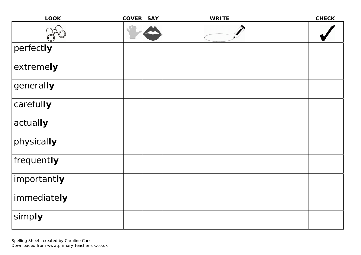| <b>LOOK</b> | COVER SAY | <b>WRITE</b> | <b>CHECK</b> |
|-------------|-----------|--------------|--------------|
|             |           |              |              |
| perfectly   |           |              |              |
| extremely   |           |              |              |
| generally   |           |              |              |
| carefully   |           |              |              |
| actually    |           |              |              |
| physically  |           |              |              |
| frequently  |           |              |              |
| importantly |           |              |              |
| immediately |           |              |              |
| simply      |           |              |              |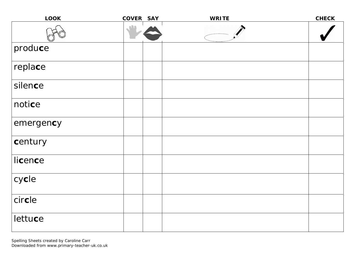| <b>LOOK</b> | COVER SAY | <b>WRITE</b> | <b>CHECK</b> |
|-------------|-----------|--------------|--------------|
|             |           |              |              |
| produce     |           |              |              |
| replace     |           |              |              |
| silence     |           |              |              |
| notice      |           |              |              |
| emergency   |           |              |              |
| century     |           |              |              |
| licence     |           |              |              |
| cycle       |           |              |              |
| circle      |           |              |              |
| lettuce     |           |              |              |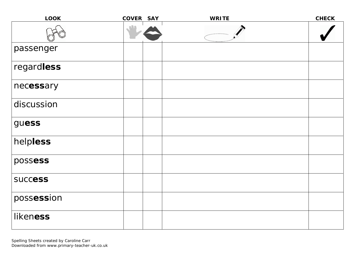| <b>LOOK</b>    | COVER SAY | <b>WRITE</b> | <b>CHECK</b> |
|----------------|-----------|--------------|--------------|
|                |           |              |              |
| passenger      |           |              |              |
| regardless     |           |              |              |
| necessary      |           |              |              |
| discussion     |           |              |              |
| guess          |           |              |              |
| helpless       |           |              |              |
| possess        |           |              |              |
| <b>SUCCESS</b> |           |              |              |
| possession     |           |              |              |
| likeness       |           |              |              |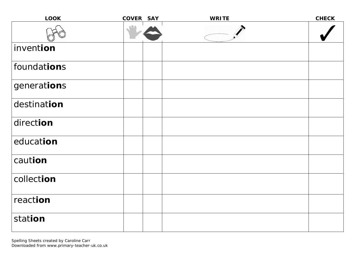| <b>LOOK</b> | COVER SAY | <b>WRITE</b> | <b>CHECK</b> |
|-------------|-----------|--------------|--------------|
|             |           |              |              |
| invention   |           |              |              |
| foundations |           |              |              |
| generations |           |              |              |
| destination |           |              |              |
| direction   |           |              |              |
| education   |           |              |              |
| caution     |           |              |              |
| collection  |           |              |              |
| reaction    |           |              |              |
| station     |           |              |              |